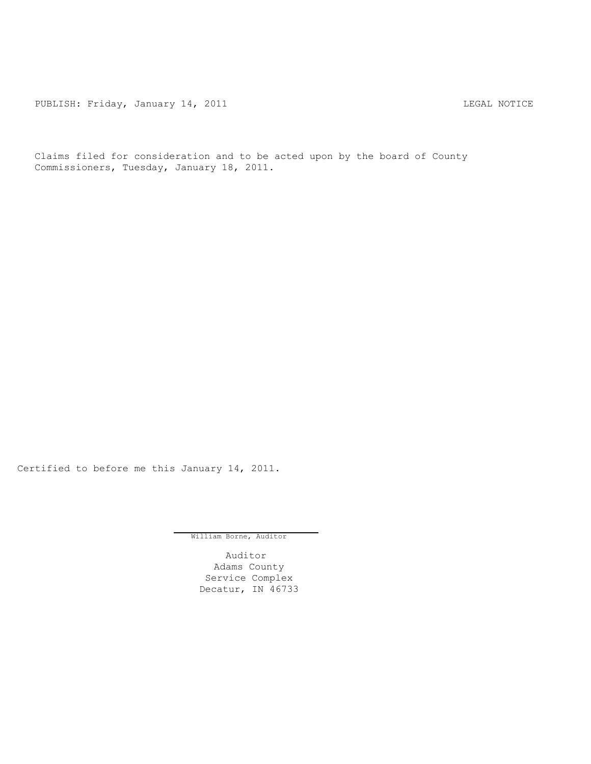PUBLISH: Friday, January 14, 2011 **LEGAL MOTICE** 

Claims filed for consideration and to be acted upon by the board of County Commissioners, Tuesday, January 18, 2011.

Certified to before me this January 14, 2011.

William Borne, Auditor

Auditor Adams County Service Complex Decatur, IN 46733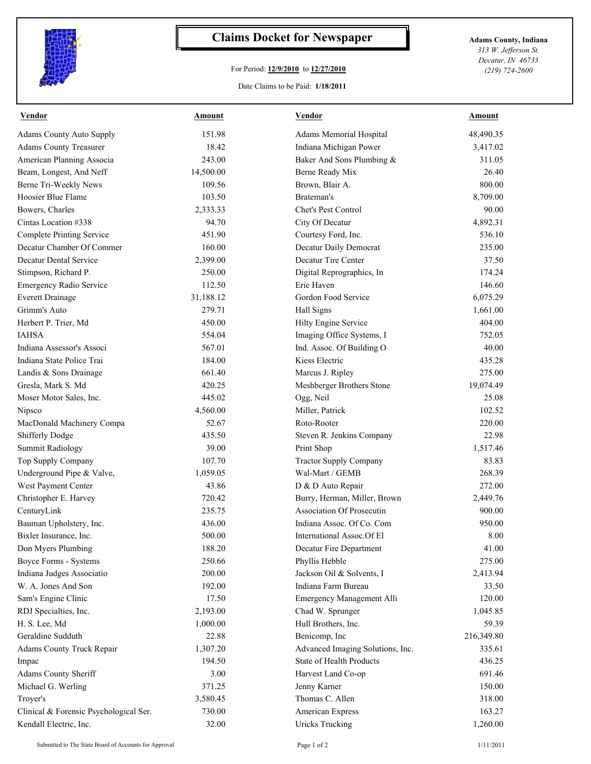

## **Claims Docket for Newspaper Adams County, Indiana**

## For Period: **12/9/2010** to **12/27/2010**

Date Claims to be Paid: **1/18/2011**

*313 W. Jefferson St. Decatur, IN 46733 (219) 724-2600*

| <b>Vendor</b>                          | <b>Amount</b> | <b>Vendor</b>                    | <b>Amount</b> |
|----------------------------------------|---------------|----------------------------------|---------------|
| <b>Adams County Auto Supply</b>        | 151.98        | Adams Memorial Hospital          | 48,490.35     |
| <b>Adams County Treasurer</b>          | 18.42         | Indiana Michigan Power           | 3,417.02      |
| American Planning Associa              | 243.00        | Baker And Sons Plumbing &        | 311.05        |
| Beam, Longest, And Neff                | 14,500.00     | Berne Ready Mix                  | 26.40         |
| Berne Tri-Weekly News                  | 109.56        | Brown, Blair A.                  | 800.00        |
| Hoosier Blue Flame                     | 103.50        | Brateman's                       | 8,709.00      |
| Bowers, Charles                        | 2,333.33      | Chet's Pest Control              | 90.00         |
| Cintas Location #338                   | 94.70         | City Of Decatur                  | 4,892.31      |
| <b>Complete Printing Service</b>       | 451.90        | Courtesy Ford, Inc.              | 536.10        |
| Decatur Chamber Of Commer              | 160.00        | Decatur Daily Democrat           | 235.00        |
| <b>Decatur Dental Service</b>          | 2,399.00      | Decatur Tire Center              | 37.50         |
| Stimpson, Richard P.                   | 250.00        | Digital Reprographics, In        | 174.24        |
| Emergency Radio Service                | 112.50        | Erie Haven                       | 146.60        |
| <b>Everett Drainage</b>                | 31,188.12     | Gordon Food Service              | 6,075.29      |
| Grimm's Auto                           | 279.71        | Hall Signs                       | 1,661.00      |
| Herbert P. Trier, Md                   | 450.00        | Hilty Engine Service             | 404.00        |
| <b>IAHSA</b>                           | 554.04        | Imaging Office Systems, I        | 752.05        |
| Indiana Assessor's Associ              | 567.01        | Ind. Assoc. Of Building O        | 40.00         |
| Indiana State Police Trai              | 184.00        | Kiess Electric                   | 435.28        |
| Landis & Sons Drainage                 | 661.40        | Marcus J. Ripley                 | 275.00        |
| Gresla, Mark S. Md                     | 420.25        | Meshberger Brothers Stone        | 19,074.49     |
| Moser Motor Sales, Inc.                | 445.02        | Ogg, Neil                        | 25.08         |
| Nipsco                                 | 4,560.00      | Miller, Patrick                  | 102.52        |
| MacDonald Machinery Compa              | 52.67         | Roto-Rooter                      | 220.00        |
| Shifferly Dodge                        | 435.50        | Steven R. Jenkins Company        | 22.98         |
| <b>Summit Radiology</b>                | 39.00         | Print Shop                       | 1,517.46      |
| Top Supply Company                     | 107.70        | <b>Tractor Supply Company</b>    | 83.83         |
| Underground Pipe & Valve,              | 1,059.05      | Wal-Mart / GEMB                  | 268.39        |
| West Payment Center                    | 43.86         | D & D Auto Repair                | 272.00        |
| Christopher E. Harvey                  | 720.42        | Burry, Herman, Miller, Brown     | 2,449.76      |
| CenturyLink                            | 235.75        | <b>Association Of Prosecutin</b> | 900.00        |
| Bauman Upholstery, Inc.                | 436.00        | Indiana Assoc. Of Co. Com        | 950.00        |
| Bixler Insurance, Inc.                 | 500.00        | International Assoc.Of El        | 8.00          |
| Don Myers Plumbing                     | 188.20        | Decatur Fire Department          | 41.00         |
| Boyce Forms - Systems                  | 250.66        | Phyllis Hebble                   | 275.00        |
| Indiana Judges Associatio              | 200.00        | Jackson Oil & Solvents, I        | 2,413.94      |
| W. A. Jones And Son                    | 192.00        | Indiana Farm Bureau              | 33.50         |
| Sam's Engine Clinic                    | 17.50         | Emergency Management Alli        | 120.00        |
| RDJ Specialties, Inc.                  | 2,193.00      | Chad W. Sprunger                 | 1,045.85      |
| H. S. Lee, Md                          | 1,000.00      | Hull Brothers, Inc.              | 59.39         |
| Geraldine Sudduth                      | 22.88         | Benicomp, Inc                    | 216,349.80    |
| Adams County Truck Repair              | 1,307.20      | Advanced Imaging Solutions, Inc. | 335.61        |
| Impac                                  | 194.50        | State of Health Products         | 436.25        |
| Adams County Sheriff                   | 3.00          | Harvest Land Co-op               | 691.46        |
| Michael G. Werling                     | 371.25        | Jenny Karner                     | 150.00        |
| Troyer's                               | 3,580.45      | Thomas C. Allen                  | 318.00        |
| Clinical & Forensic Psychological Ser. | 730.00        | American Express                 | 163.27        |
| Kendall Electric, Inc.                 | 32.00         | <b>Uricks Trucking</b>           | 1,260.00      |